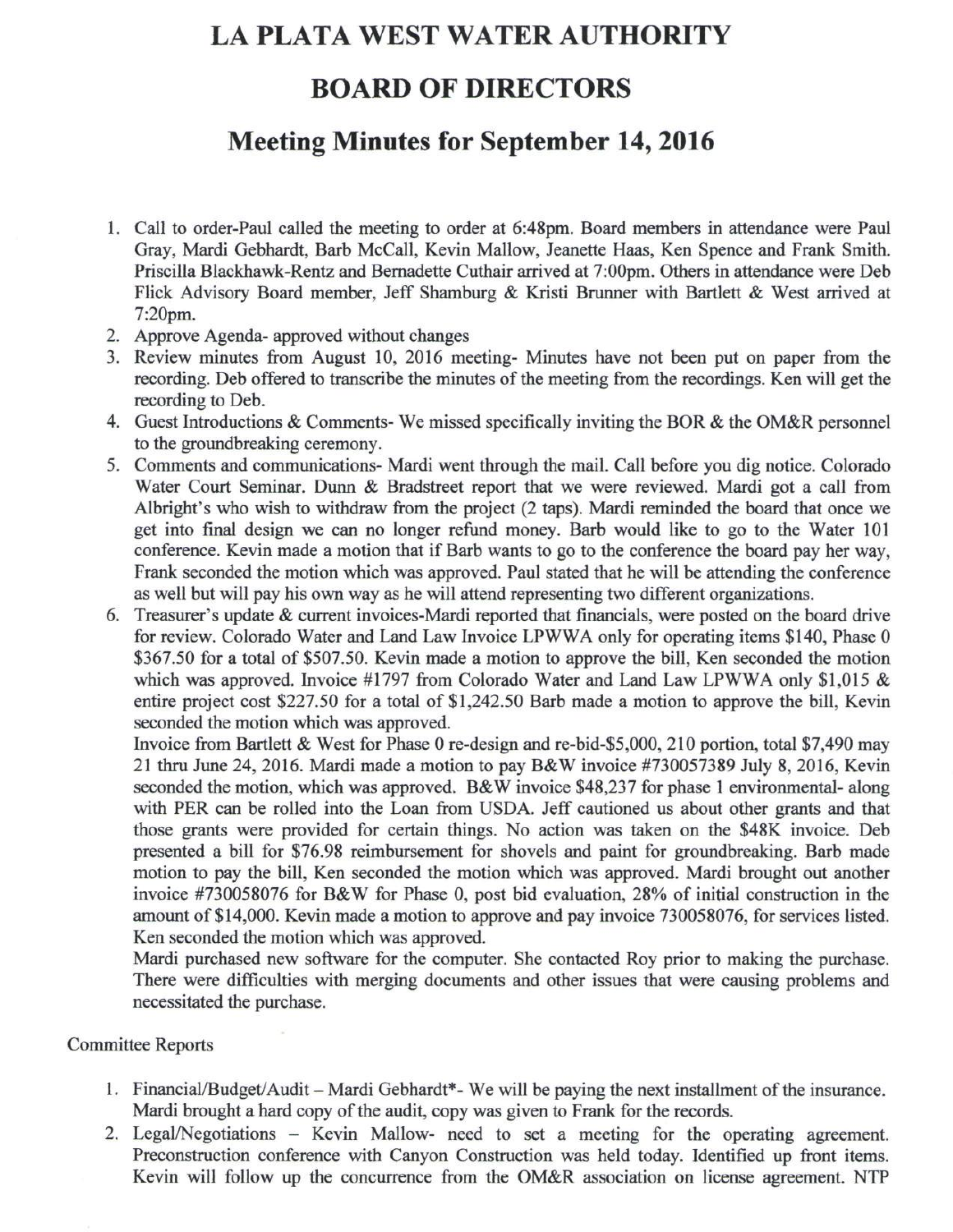# **LA PLATA WEST WATER AUTHORITY**

### **BOARD OF DIRECTORS**

# **Meeting Minutes for September 14,2016**

- 1. Call to order-Paul called the meeting to order at 6:48pm. Board members in attendance were Paul Gray, Mardi Gebhardt, Barb McCall, Kevin Mallow, Jeanette Haas, Ken Spence and Frank Smith. Priscilla Blackhawk-Rentz and Bernadette Cuthair arrived at 7:00pm. Others in attendance were Deb Flick Advisory Board member, Jeff Shamburg & Kristi Brunner with Bartlett & West arrived at 7:20pm.
- 2. Approve Agenda- approved without changes
- 3. Review minutes from August 10, 2016 meeting- Minutes have not been put on paper from the recording. Deb offered to transcribe the minutes of the meeting from the recordings. Ken will get the recording to Deb.
- 4. Guest Introductions & Comments- We missed specifically inviting the BOR & the OM&R personnel to the groundbreaking ceremony.
- 5. Comments and communications- Mardi went through the mail. Call before you dig notice. Colorado Water Court Seminar. Dunn & Bradstreet report that we were reviewed. Mardi got a call from Albright's who wish to withdraw from the project (2 taps). Mardi reminded the board that once we get into final design we can no longer refund money. Barb would like to go to the Water 101 conference. Kevin made a motion that if Barb wants to go to the conference the board pay her way, Frank seconded the motion which was approved. Paul stated that he will be attending the conference as well but will pay his own way as he will attend representing two different organizations.
- 6. Treasurer's update & current invoices-Mardi reported that financials, were posted on the board drive for review. Colorado Water and Land Law Invoice LPWWA only for operating items \$140, Phase 0 \$367.50 for a total of \$507.50. Kevin made a motion to approve the bill, Ken seconded the motion which was approved. Invoice #1797 from Colorado Water and Land Law LPWWA only \$1,015 & entire project cost \$227.50 for a total of \$1,242.50 Barb made a motion to approve the bill, Kevin seconded the motion which was approved.

Invoice from Bartlett & West for Phase 0 re-design and re-bid-\$5,000, 210 portion, total \$7,490 may 21 thru June 24, 2016. Mardi made a motion to pay B&W invoice #730057389 July 8, 2016, Kevin seconded the motion, which was approved. B&W invoice \$48,237 for phase 1 environmental- along with PER can be rolled into the Loan from USDA. Jeff cautioned us about other grants and that those grants were provided for certain things. No action was taken on the \$48K invoice. Deb presented a bill for \$76.98 reimbursement for shovels and paint for groundbreaking. Barb made motion to pay the bill, Ken seconded the motion which was approved. Mardi brought out another invoice #730058076 for B&W for Phase 0, post bid evaluation, 28% of initial construction in the amount of \$14,000. Kevin made a motion to approve and pay invoice 730058076, for services listed. Ken seconded the motion which was approved.

Mardi purchased new software for the computer. She contacted Roy prior to making the purchase. There were difficulties with merging documents and other issues that were causing problems and necessitated the purchase.

### Committee Reports

- 1. Financial/Budget/Audit Mardi Gebhardt\*- We will be paying the next installment of the insurance. Mardi brought a hard copy of the audit, copy was given to Frank for the records.
- 2. Legal/Negotiations Kevin Mallow- need to set a meeting for the operating agreement. Preconstruction conference with Canyon Construction was held today. Identified up front items. Kevin will follow up the concurrence from the OM&R association on license agreement. NTP